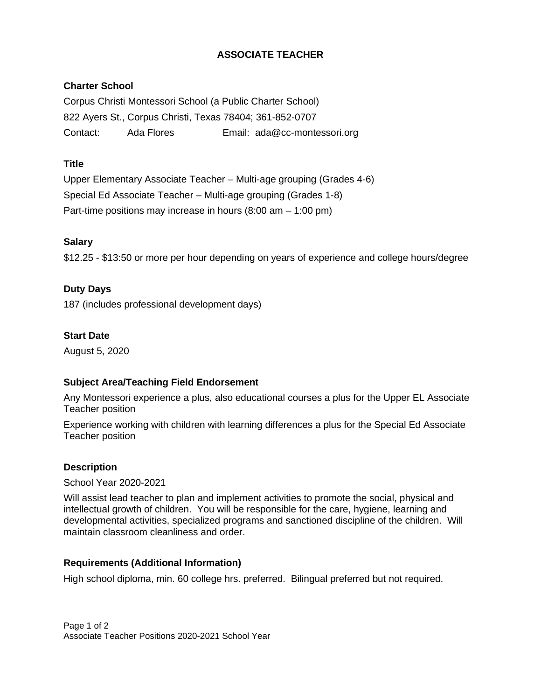# **ASSOCIATE TEACHER**

## **Charter School**

Corpus Christi Montessori School (a Public Charter School) 822 Ayers St., Corpus Christi, Texas 78404; 361-852-0707 Contact: Ada Flores Email: ada@cc-montessori.org

### **Title**

Upper Elementary Associate Teacher – Multi-age grouping (Grades 4-6) Special Ed Associate Teacher – Multi-age grouping (Grades 1-8) Part-time positions may increase in hours (8:00 am – 1:00 pm)

### **Salary**

\$12.25 - \$13:50 or more per hour depending on years of experience and college hours/degree

### **Duty Days**

187 (includes professional development days)

### **Start Date**

August 5, 2020

### **Subject Area/Teaching Field Endorsement**

Any Montessori experience a plus, also educational courses a plus for the Upper EL Associate Teacher position

Experience working with children with learning differences a plus for the Special Ed Associate Teacher position

### **Description**

School Year 2020-2021

Will assist lead teacher to plan and implement activities to promote the social, physical and intellectual growth of children. You will be responsible for the care, hygiene, learning and developmental activities, specialized programs and sanctioned discipline of the children. Will maintain classroom cleanliness and order.

### **Requirements (Additional Information)**

High school diploma, min. 60 college hrs. preferred. Bilingual preferred but not required.

Page 1 of 2 Associate Teacher Positions 2020-2021 School Year